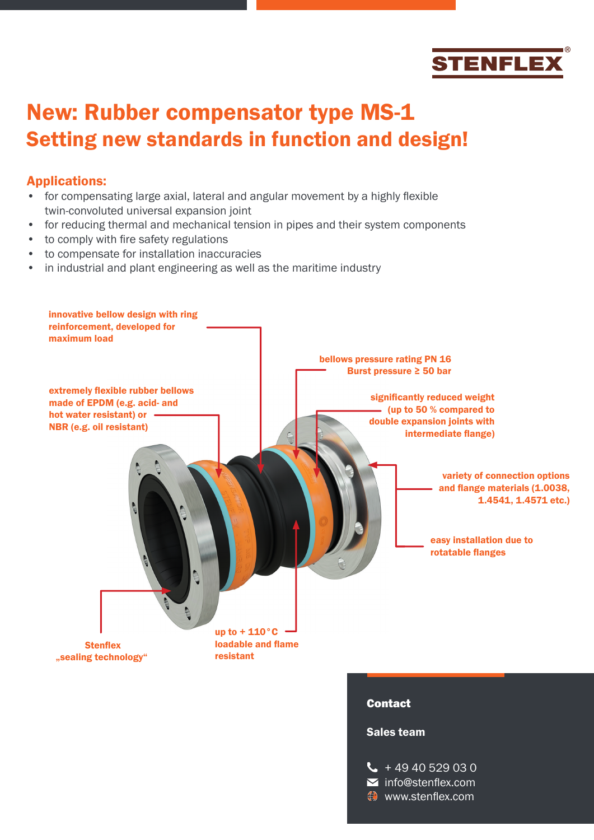

# New: Rubber compensator type MS-1 Setting new standards in function and design!

#### Applications:

- for compensating large axial, lateral and angular movement by a highly flexible twin-convoluted universal expansion joint
- for reducing thermal and mechanical tension in pipes and their system components
- to comply with fire safety regulations
- to compensate for installation inaccuracies
- in industrial and plant engineering as well as the maritime industry



 $\bullet$  www.stenflex.com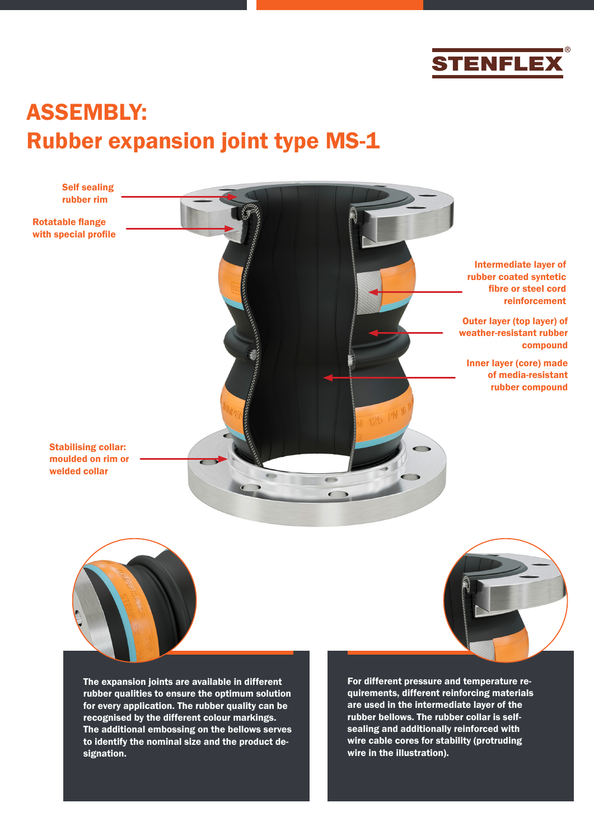

# ASSEMBLY: Rubber expansion joint type MS-1

Intermediate layer of rubber coated syntetic fibre or steel cord reinforcement

> Outer layer (top layer) of weather-resistant rubber compound

Inner layer (core) made of media-resistant rubber compound

Stabilising collar: moulded on rim or welded collar

Rotatable flange with special profile

Self sealing rubber rim



The expansion joints are available in different rubber qualities to ensure the optimum solution for every application. The rubber quality can be recognised by the different colour markings. The additional embossing on the bellows serves to identify the nominal size and the product designation.

For different pressure and temperature requirements, different reinforcing materials are used in the intermediate layer of the rubber bellows. The rubber collar is selfsealing and additionally reinforced with wire cable cores for stability (protruding

wire in the illustration).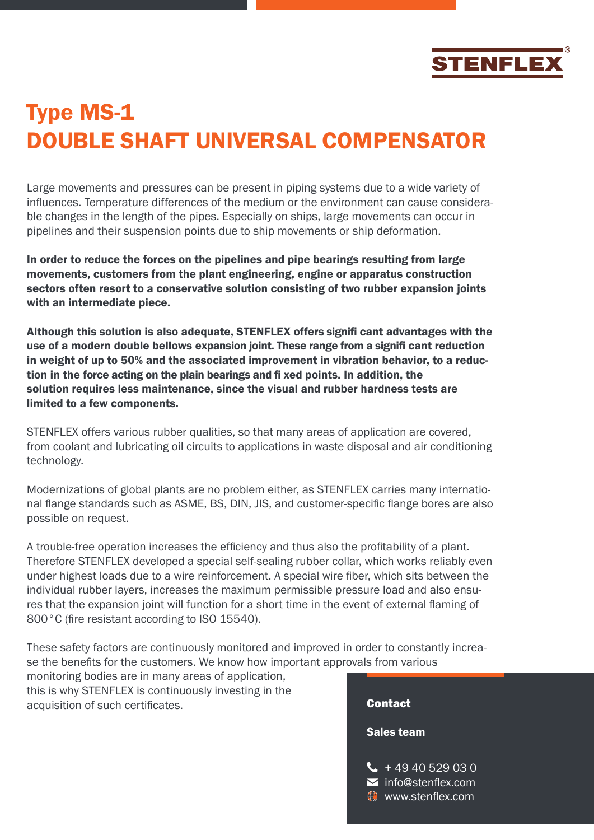

# DOUBLE SHAFT UNIVERSAL COMPENSATOR

Large movements and pressures can be present in piping systems due to a wide variety of influences. Temperature differences of the medium or the environment can cause considerable changes in the length of the pipes. Especially on ships, large movements can occur in pipelines and their suspension points due to ship movements or ship deformation.

In order to reduce the forces on the pipelines and pipe bearings resulting from large movements, customers from the plant engineering, engine or apparatus construction sectors often resort to a conservative solution consisting of two rubber expansion joints with an intermediate piece.

Type MS-1<br>
DOUBLE SHAFT UNIVERSAL COM<br>
Large movements and pressures can be present in piping systems<br>
Large movements and pressures can be present in piping systems<br>
diffluences. Temperature differences of the medium or t Although this solution is also adequate, STENFLEX offers signifi cant advantages with the use of a modern double bellows expansion joint. These range from a signifi cant reduction in weight of up to 50% and the associated improvement in vibration behavior, to a reduction in the force acting on the plain bearings and fi xed points. In addition, the solution requires less maintenance, since the visual and rubber hardness tests are limited to a few components.

STENFLEX offers various rubber qualities, so that many areas of application are covered, from coolant and lubricating oil circuits to applications in waste disposal and air conditioning technology.

Modernizations of global plants are no problem either, as STENFLEX carries many international flange standards such as ASME, BS, DIN, JIS, and customer-specific flange bores are also possible on request.

A trouble-free operation increases the efficiency and thus also the profitability of a plant. Therefore STENFLEX developed a special self-sealing rubber collar, which works reliably even under highest loads due to a wire reinforcement. A special wire fiber, which sits between the individual rubber layers, increases the maximum permissible pressure load and also ensures that the expansion joint will function for a short time in the event of external flaming of 800°C (fire resistant according to ISO 15540).

These safety factors are continuously monitored and improved in order to constantly increase the benefits for the customers. We know how important approvals from various

monitoring bodies are in many areas of application, this is why STENFLEX is continuously investing in the acquisition of such certificates.

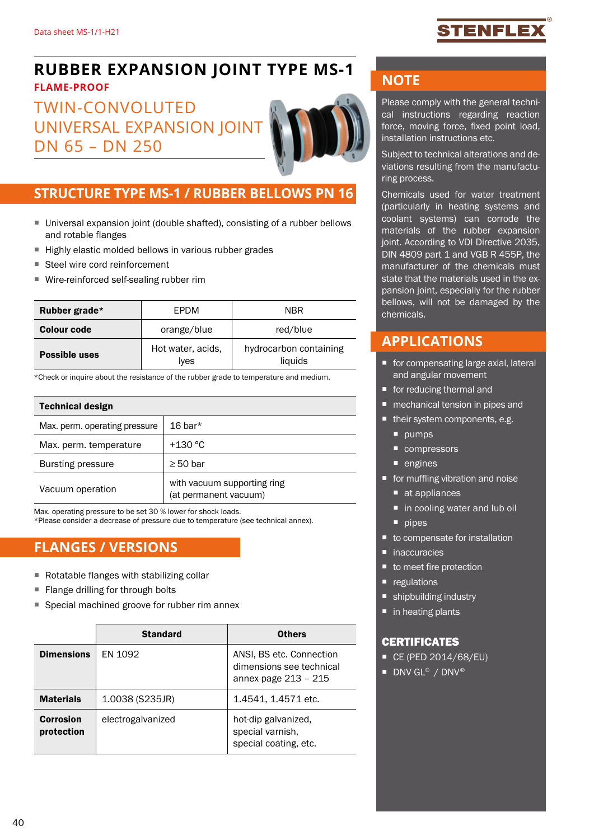## TENFLE

## **RUBBER EXPANSION JOINT TYPE MS-1**

#### **FLAME-PROOF**

## TWIN-CONVOLUTED UNIVERSAL EXPANSION JOINT DN 65 – DN 250



#### **STRUCTURE TYPE MS-1 / RUBBER BELLOWS PN 16**

- Universal expansion joint (double shafted), consisting of a rubber bellows and rotable flanges
- Highly elastic molded bellows in various rubber grades
- Steel wire cord reinforcement
- Wire-reinforced self-sealing rubber rim

| Rubber grade*        | <b>FPDM</b>                      | <b>NBR</b>                        |  |  |
|----------------------|----------------------------------|-----------------------------------|--|--|
| <b>Colour code</b>   | orange/blue                      | red/blue                          |  |  |
| <b>Possible uses</b> | Hot water, acids,<br><i>lves</i> | hydrocarbon containing<br>liquids |  |  |

\*Check or inquire about the resistance of the rubber grade to temperature and medium.

| <b>Technical design</b>       |                                                      |  |  |  |  |
|-------------------------------|------------------------------------------------------|--|--|--|--|
| Max. perm. operating pressure | 16 bar $*$                                           |  |  |  |  |
| Max. perm. temperature        | $+130$ °C                                            |  |  |  |  |
| <b>Bursting pressure</b>      | $\geq 50$ bar                                        |  |  |  |  |
| Vacuum operation              | with vacuum supporting ring<br>(at permanent vacuum) |  |  |  |  |

Max. operating pressure to be set 30 % lower for shock loads.

\*Please consider a decrease of pressure due to temperature (see technical annex).

#### **FLANGES / VERSIONS**

- Rotatable flanges with stabilizing collar
- Flange drilling for through bolts
- Special machined groove for rubber rim annex

|                                | <b>Standard</b>   | <b>Others</b>                                                                |  |  |
|--------------------------------|-------------------|------------------------------------------------------------------------------|--|--|
| <b>Dimensions</b>              | EN 1092           | ANSI, BS etc. Connection<br>dimensions see technical<br>annex page 213 - 215 |  |  |
| <b>Materials</b>               | $1.0038$ (S235JR) | 1.4541, 1.4571 etc.                                                          |  |  |
| <b>Corrosion</b><br>protection | electrogalvanized | hot-dip galvanized,<br>special varnish,<br>special coating, etc.             |  |  |

#### **NOTE**

Please comply with the general technical instructions regarding reaction force, moving force, fixed point load, installation instructions etc.

Subject to technical alterations and deviations resulting from the manufacturing process.

Chemicals used for water treatment (particularly in heating systems and coolant systems) can corrode the materials of the rubber expansion joint. According to VDI Directive 2035, DIN 4809 part 1 and VGB R 455P, the manufacturer of the chemicals must state that the materials used in the expansion joint, especially for the rubber bellows, will not be damaged by the chemicals.

#### **APPLICATIONS**

- for compensating large axial, lateral and angular movement
- for reducing thermal and
- **n** mechanical tension in pipes and
- their system components, e.g.
	- **pumps**
	- compressors
	- engines
- **for muffling vibration and noise** 
	- at appliances
	- in cooling water and lub oil
	- $\nightharpoonup$  pipes
- to compensate for installation
- inaccuracies
- to meet fire protection
- egulations
- shipbuilding industry
- $\blacksquare$  in heating plants

#### **CERTIFICATES**

- CE (PED 2014/68/EU)
- DNV GL<sup>®</sup> / DNV®